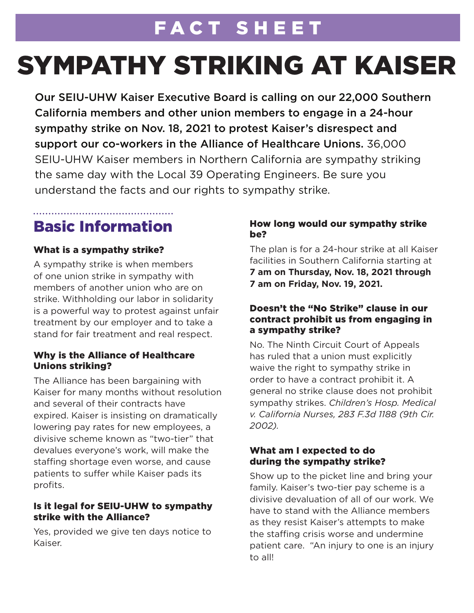## FACT SHEET

# SYMPATHY STRIKING AT KAISER

Our SEIU-UHW Kaiser Executive Board is calling on our 22,000 Southern California members and other union members to engage in a 24-hour sympathy strike on Nov. 18, 2021 to protest Kaiser's disrespect and support our co-workers in the Alliance of Healthcare Unions. 36,000 SEIU-UHW Kaiser members in Northern California are sympathy striking the same day with the Local 39 Operating Engineers. Be sure you understand the facts and our rights to sympathy strike.

### Basic Information

#### What is a sympathy strike?

A sympathy strike is when members of one union strike in sympathy with members of another union who are on strike. Withholding our labor in solidarity is a powerful way to protest against unfair treatment by our employer and to take a stand for fair treatment and real respect.

#### Why is the Alliance of Healthcare Unions striking?

The Alliance has been bargaining with Kaiser for many months without resolution and several of their contracts have expired. Kaiser is insisting on dramatically lowering pay rates for new employees, a divisive scheme known as "two-tier" that devalues everyone's work, will make the staffing shortage even worse, and cause patients to suffer while Kaiser pads its profits.

#### Is it legal for SEIU-UHW to sympathy strike with the Alliance?

Yes, provided we give ten days notice to Kaiser.

#### How long would our sympathy strike be?

The plan is for a 24-hour strike at all Kaiser facilities in Southern California starting at **7 am on Thursday, Nov. 18, 2021 through 7 am on Friday, Nov. 19, 2021.**

#### Doesn't the "No Strike" clause in our contract prohibit us from engaging in a sympathy strike?

No. The Ninth Circuit Court of Appeals has ruled that a union must explicitly waive the right to sympathy strike in order to have a contract prohibit it. A general no strike clause does not prohibit sympathy strikes. *Children's Hosp. Medical v. California Nurses, 283 F.3d 1188 (9th Cir. 2002).* 

#### What am I expected to do during the sympathy strike?

Show up to the picket line and bring your family. Kaiser's two-tier pay scheme is a divisive devaluation of all of our work. We have to stand with the Alliance members as they resist Kaiser's attempts to make the staffing crisis worse and undermine patient care. "An injury to one is an injury to all!